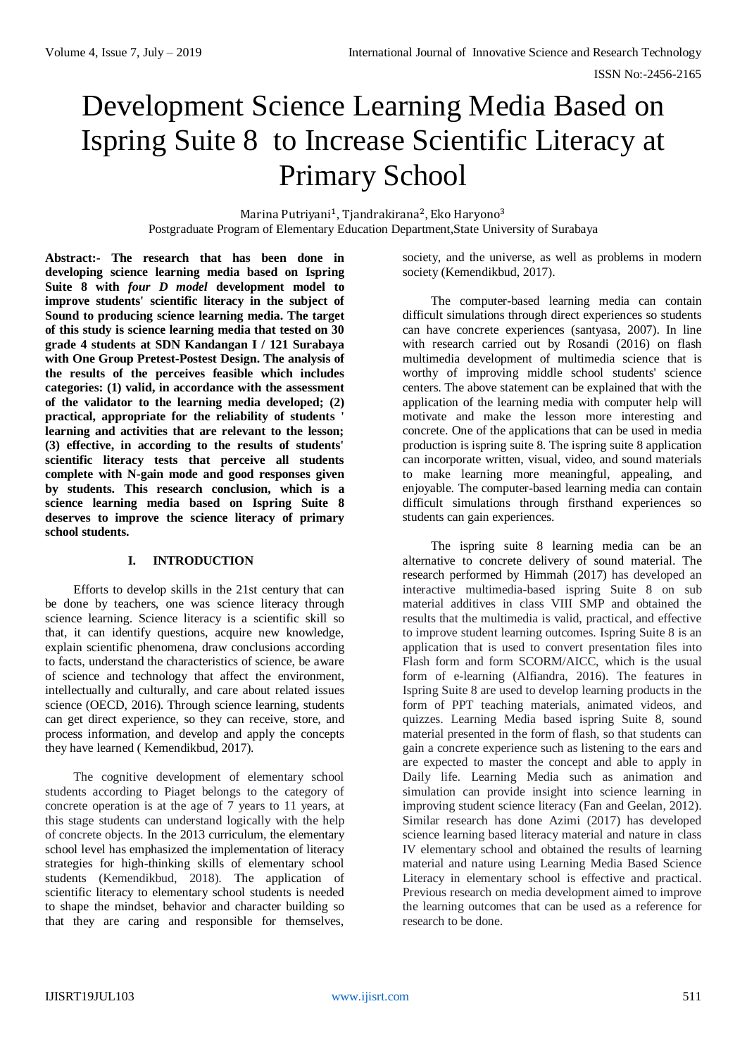# Development Science Learning Media Based on Ispring Suite 8 to Increase Scientific Literacy at Primary School

Marina Putriyani<sup>1</sup>, Tjandrakirana<sup>2</sup>, Eko Haryono<sup>3</sup> Postgraduate Program of Elementary Education Department,State University of Surabaya

**Abstract:- The research that has been done in developing science learning media based on Ispring Suite 8 with** *four D model* **development model to improve students' scientific literacy in the subject of Sound to producing science learning media. The target of this study is science learning media that tested on 30 grade 4 students at SDN Kandangan I / 121 Surabaya with One Group Pretest-Postest Design. The analysis of the results of the perceives feasible which includes categories: (1) valid, in accordance with the assessment of the validator to the learning media developed; (2) practical, appropriate for the reliability of students ' learning and activities that are relevant to the lesson; (3) effective, in according to the results of students' scientific literacy tests that perceive all students complete with N-gain mode and good responses given by students. This research conclusion, which is a science learning media based on Ispring Suite 8 deserves to improve the science literacy of primary school students.**

# **I. INTRODUCTION**

Efforts to develop skills in the 21st century that can be done by teachers, one was science literacy through science learning. Science literacy is a scientific skill so that, it can identify questions, acquire new knowledge, explain scientific phenomena, draw conclusions according to facts, understand the characteristics of science, be aware of science and technology that affect the environment, intellectually and culturally, and care about related issues science (OECD, 2016). Through science learning, students can get direct experience, so they can receive, store, and process information, and develop and apply the concepts they have learned ( Kemendikbud, 2017).

The cognitive development of elementary school students according to Piaget belongs to the category of concrete operation is at the age of 7 years to 11 years, at this stage students can understand logically with the help of concrete objects. In the 2013 curriculum, the elementary school level has emphasized the implementation of literacy strategies for high-thinking skills of elementary school students (Kemendikbud, 2018). The application of scientific literacy to elementary school students is needed to shape the mindset, behavior and character building so that they are caring and responsible for themselves,

society, and the universe, as well as problems in modern society (Kemendikbud, 2017).

The computer-based learning media can contain difficult simulations through direct experiences so students can have concrete experiences (santyasa, 2007). In line with research carried out by Rosandi (2016) on flash multimedia development of multimedia science that is worthy of improving middle school students' science centers. The above statement can be explained that with the application of the learning media with computer help will motivate and make the lesson more interesting and concrete. One of the applications that can be used in media production is ispring suite 8. The ispring suite 8 application can incorporate written, visual, video, and sound materials to make learning more meaningful, appealing, and enjoyable. The computer-based learning media can contain difficult simulations through firsthand experiences so students can gain experiences.

The ispring suite 8 learning media can be an alternative to concrete delivery of sound material. The research performed by Himmah (2017) has developed an interactive multimedia-based ispring Suite 8 on sub material additives in class VIII SMP and obtained the results that the multimedia is valid, practical, and effective to improve student learning outcomes. Ispring Suite 8 is an application that is used to convert presentation files into Flash form and form SCORM/AICC, which is the usual form of e-learning (Alfiandra, 2016). The features in Ispring Suite 8 are used to develop learning products in the form of PPT teaching materials, animated videos, and quizzes. Learning Media based ispring Suite 8, sound material presented in the form of flash, so that students can gain a concrete experience such as listening to the ears and are expected to master the concept and able to apply in Daily life. Learning Media such as animation and simulation can provide insight into science learning in improving student science literacy (Fan and Geelan, 2012). Similar research has done Azimi (2017) has developed science learning based literacy material and nature in class IV elementary school and obtained the results of learning material and nature using Learning Media Based Science Literacy in elementary school is effective and practical. Previous research on media development aimed to improve the learning outcomes that can be used as a reference for research to be done.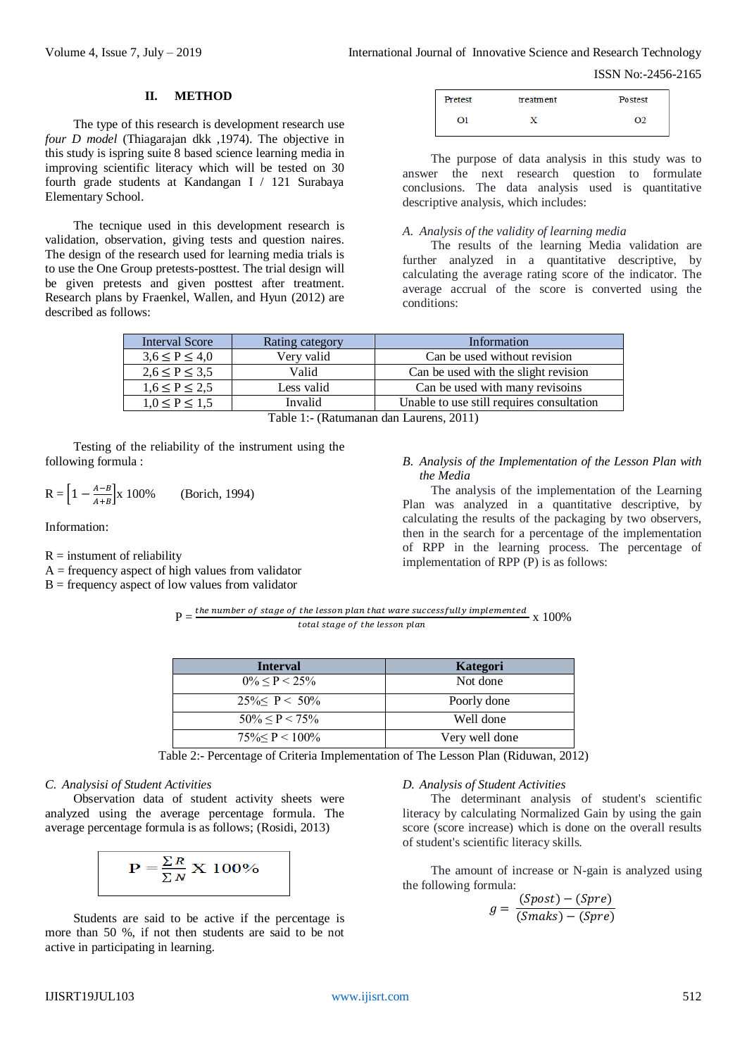ISSN No:-2456-2165

#### **II. METHOD**

The type of this research is development research use *four D model* (Thiagarajan dkk ,1974). The objective in this study is ispring suite 8 based science learning media in improving scientific literacy which will be tested on 30 fourth grade students at Kandangan I / 121 Surabaya Elementary School.

The tecnique used in this development research is validation, observation, giving tests and question naires. The design of the research used for learning media trials is to use the One Group pretests-posttest. The trial design will be given pretests and given posttest after treatment. Research plans by Fraenkel, Wallen, and Hyun (2012) are described as follows:

| Pretest  | treatment | Postest |
|----------|-----------|---------|
| $\Omega$ | v         | ഹ       |

The purpose of data analysis in this study was to answer the next research question to formulate conclusions. The data analysis used is quantitative descriptive analysis, which includes:

## *A. Analysis of the validity of learning media*

The results of the learning Media validation are further analyzed in a quantitative descriptive, by calculating the average rating score of the indicator. The average accrual of the score is converted using the conditions:

*B. Analysis of the Implementation of the Lesson Plan with* 

The analysis of the implementation of the Learning Plan was analyzed in a quantitative descriptive, by calculating the results of the packaging by two observers, then in the search for a percentage of the implementation of RPP in the learning process. The percentage of

| <b>Interval Score</b> | Rating category                         | Information                                                               |
|-----------------------|-----------------------------------------|---------------------------------------------------------------------------|
| $3.6 \le P \le 4.0$   | Very valid                              | Can be used without revision                                              |
| $2,6 \le P \le 3,5$   | Valid                                   | Can be used with the slight revision                                      |
| $1,6 \le P \le 2,5$   | Less valid                              | Can be used with many revisoins                                           |
| $1,0 \le P \le 1,5$   | Invalid                                 | Unable to use still requires consultation                                 |
|                       | $\mathbf{m}$ in the set of $\mathbf{m}$ | 20.4.4<br>$\mathbf{r}$ and $\mathbf{r}$ and $\mathbf{r}$ and $\mathbf{r}$ |

Table 1:- (Ratumanan dan Laurens, 2011)

*the Media*

Testing of the reliability of the instrument using the following formula :

$$
R = \left[1 - \frac{A - B}{A + B}\right] x \quad 100\% \qquad \text{(Borich, 1994)}
$$

Information:

 $R =$  instument of reliability

 $A =$  frequency aspect of high values from validator

 $B =$  frequency aspect of low values from validator

| the number of stage of the lesson plan that ware successfully implemented $\geq 100\%$ |  |
|----------------------------------------------------------------------------------------|--|
| total stage of the lesson plan                                                         |  |

| <b>Interval</b>    | Kategori       |
|--------------------|----------------|
| $0\%$ < P < 25%    | Not done       |
| $25\% < P < 50\%$  | Poorly done    |
| $50\% < P < 75\%$  | Well done      |
| $75\% < P < 100\%$ | Very well done |

Table 2:- Percentage of Criteria Implementation of The Lesson Plan (Riduwan, 2012)

#### *C. Analysisi of Student Activities*

Observation data of student activity sheets were analyzed using the average percentage formula. The average percentage formula is as follows; (Rosidi, 2013)

$$
P = \frac{\sum R}{\sum N} \times 100\%
$$

Students are said to be active if the percentage is more than 50 %, if not then students are said to be not active in participating in learning.

#### *D. Analysis of Student Activities*

implementation of RPP (P) is as follows:

The determinant analysis of student's scientific literacy by calculating Normalized Gain by using the gain score (score increase) which is done on the overall results of student's scientific literacy skills.

The amount of increase or N-gain is analyzed using the following formula:  $\sim$  ( $\sim$ 

$$
g = \frac{(Spost) - (Spre)}{(Smaks) - (Spre)}
$$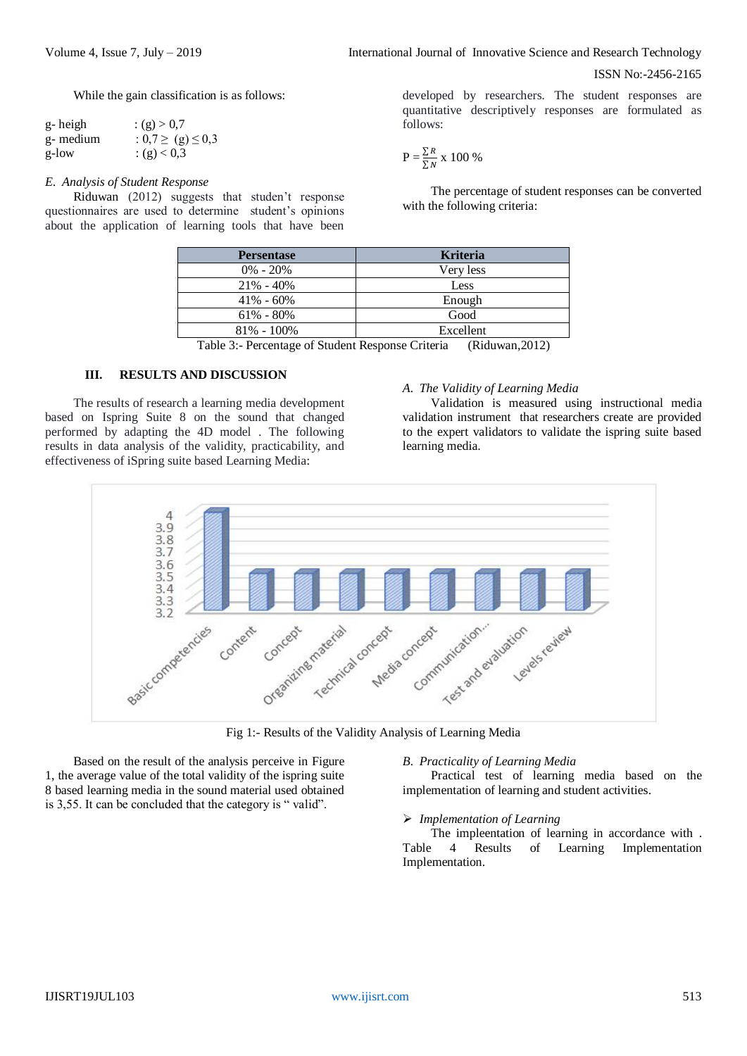ISSN No:-2456-2165

While the gain classification is as follows:

| g- heigh  | : $(g) > 0.7$             |
|-----------|---------------------------|
| g- medium | $: 0.7 \ge$ (g) $\le$ 0.3 |
| g-low     | : $(g)$ < 0.3             |

### *E. Analysis of Student Response*

Riduwan (2012) suggests that studen't response questionnaires are used to determine student's opinions about the application of learning tools that have been

developed by researchers. The student responses are quantitative descriptively responses are formulated as follows:

$$
P = \frac{\Sigma R}{\Sigma N} \times 100 \%
$$

The percentage of student responses can be converted with the following criteria:

| <b>Persentase</b> | <b>Kriteria</b> |
|-------------------|-----------------|
| $0\% - 20\%$      | Very less       |
| $21\% - 40\%$     | Less            |
| $41\% - 60\%$     | Enough          |
| $61\% - 80\%$     | Good            |
| $81\% - 100\%$    | Excellent       |

Table 3:- Percentage of Student Response Criteria (Riduwan,2012)

# **III. RESULTS AND DISCUSSION**

The results of research a learning media development based on Ispring Suite 8 on the sound that changed performed by adapting the 4D model . The following results in data analysis of the validity, practicability, and effectiveness of iSpring suite based Learning Media:

#### *A. The Validity of Learning Media*

Validation is measured using instructional media validation instrument that researchers create are provided to the expert validators to validate the ispring suite based learning media.



Fig 1:- Results of the Validity Analysis of Learning Media

Based on the result of the analysis perceive in Figure 1, the average value of the total validity of the ispring suite 8 based learning media in the sound material used obtained is 3,55. It can be concluded that the category is " valid".

# *B. Practicality of Learning Media*

Practical test of learning media based on the implementation of learning and student activities.

#### *Implementation of Learning*

The impleentation of learning in accordance with . Table 4 Results of Learning Implementation Implementation.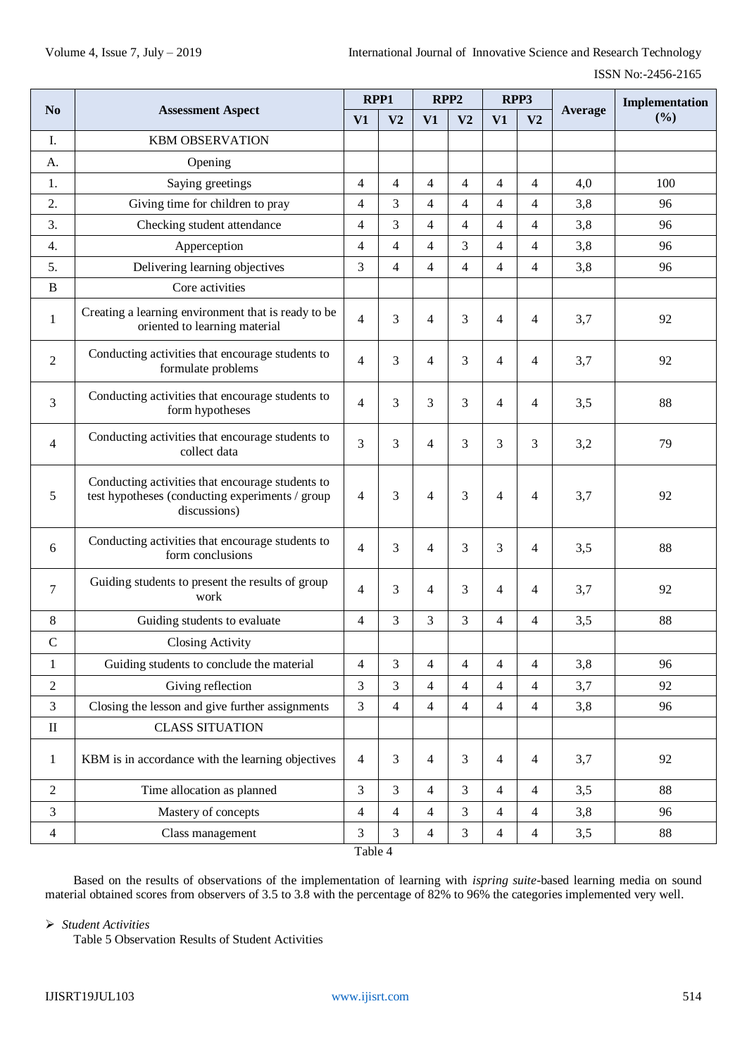| N <sub>o</sub> |                                                                                                                     |                | RPP1                               |                          | RPP <sub>2</sub> |                | RPP3           | Average | Implementation |  |
|----------------|---------------------------------------------------------------------------------------------------------------------|----------------|------------------------------------|--------------------------|------------------|----------------|----------------|---------|----------------|--|
|                | <b>Assessment Aspect</b>                                                                                            | V1             | V <sub>2</sub>                     | V1                       | V <sub>2</sub>   | V1             | V <sub>2</sub> |         | (%)            |  |
| I.             | <b>KBM OBSERVATION</b>                                                                                              |                |                                    |                          |                  |                |                |         |                |  |
| A.             | Opening                                                                                                             |                |                                    |                          |                  |                |                |         |                |  |
| 1.             | Saying greetings                                                                                                    | $\overline{4}$ | $\overline{4}$                     | $\overline{4}$           | 4                | 4              | 4              | 4,0     | 100            |  |
| 2.             | Giving time for children to pray                                                                                    | $\overline{4}$ | 3                                  | 4                        | 4                | 4              | 4              | 3,8     | 96             |  |
| 3.             | Checking student attendance                                                                                         | $\overline{4}$ | 3                                  | 4                        | 4                | 4              | $\overline{4}$ | 3,8     | 96             |  |
| 4.             | Apperception                                                                                                        | 4              | 4                                  | $\overline{\mathcal{L}}$ | 3                | 4              | 4              | 3,8     | 96             |  |
| 5.             | Delivering learning objectives                                                                                      | 3              | 4                                  | $\overline{4}$           | 4                | 4              | 4              | 3,8     | 96             |  |
| $\, {\bf B}$   | Core activities                                                                                                     |                |                                    |                          |                  |                |                |         |                |  |
| $\mathbf{1}$   | Creating a learning environment that is ready to be<br>oriented to learning material                                | $\overline{4}$ | 3                                  | $\overline{4}$           | 3                | 4              | 4              | 3,7     | 92             |  |
| 2              | Conducting activities that encourage students to<br>formulate problems                                              | $\overline{4}$ | 3                                  | $\overline{4}$           | 3                | 4              | 4              | 3,7     | 92             |  |
| 3              | Conducting activities that encourage students to<br>form hypotheses                                                 |                | 3                                  | 3                        | 3                | 4              | 4              | 3,5     | 88             |  |
| 4              | Conducting activities that encourage students to<br>collect data                                                    | 3              | 3                                  | $\overline{4}$           | 3                | 3              | 3              | 3,2     | 79             |  |
| 5              | Conducting activities that encourage students to<br>test hypotheses (conducting experiments / group<br>discussions) |                | 3                                  | $\overline{4}$           | 3                | 4              | 4              | 3,7     | 92             |  |
| 6              | Conducting activities that encourage students to<br>form conclusions                                                | $\overline{4}$ | 3<br>3<br>3<br>$\overline{4}$<br>4 |                          | 3,5              | 88             |                |         |                |  |
| $\tau$         | Guiding students to present the results of group<br>work                                                            | $\overline{4}$ | 3                                  | $\overline{4}$           | 3                | 4              | 4              | 3,7     | 92             |  |
| 8              | Guiding students to evaluate                                                                                        | $\overline{4}$ | 3                                  | 3                        | 3                | 4              | 4              | 3,5     | 88             |  |
| $\mathcal{C}$  | Closing Activity                                                                                                    |                |                                    |                          |                  |                |                |         |                |  |
| 1              | Guiding students to conclude the material                                                                           | $\overline{4}$ | 3                                  | $\overline{4}$           | 4                | 4              | 4              | 3,8     | 96             |  |
| $\overline{2}$ | Giving reflection                                                                                                   | 3              | 3                                  | $\overline{4}$           | $\overline{4}$   | 4              | $\overline{4}$ | 3,7     | 92             |  |
| $\overline{3}$ | Closing the lesson and give further assignments                                                                     | $\overline{3}$ | $\overline{4}$                     | $\overline{4}$           | $\overline{4}$   | 4              | $\overline{4}$ | 3,8     | 96             |  |
| $\rm II$       | <b>CLASS SITUATION</b>                                                                                              |                |                                    |                          |                  |                |                |         |                |  |
| $\mathbf{1}$   | KBM is in accordance with the learning objectives                                                                   |                | $\overline{3}$                     | $\overline{4}$           | 3                | 4              | 4              | 3,7     | 92             |  |
| 2              | Time allocation as planned                                                                                          | 3              | $\mathfrak{Z}$                     | $\overline{4}$           | 3                | 4              | 4              | 3,5     | 88             |  |
| 3              | Mastery of concepts                                                                                                 | $\overline{4}$ | $\overline{4}$                     | $\overline{4}$           | 3                | 4              | 4              | 3,8     | 96             |  |
| $\overline{4}$ | Class management                                                                                                    | 3<br>Table 4   | 3                                  | $\overline{4}$           | 3                | $\overline{4}$ | $\overline{4}$ | 3,5     | 88             |  |

Table 4

Based on the results of observations of the implementation of learning with *ispring suite*-based learning media on sound material obtained scores from observers of 3.5 to 3.8 with the percentage of 82% to 96% the categories implemented very well.

*Student Activities*

Table 5 Observation Results of Student Activities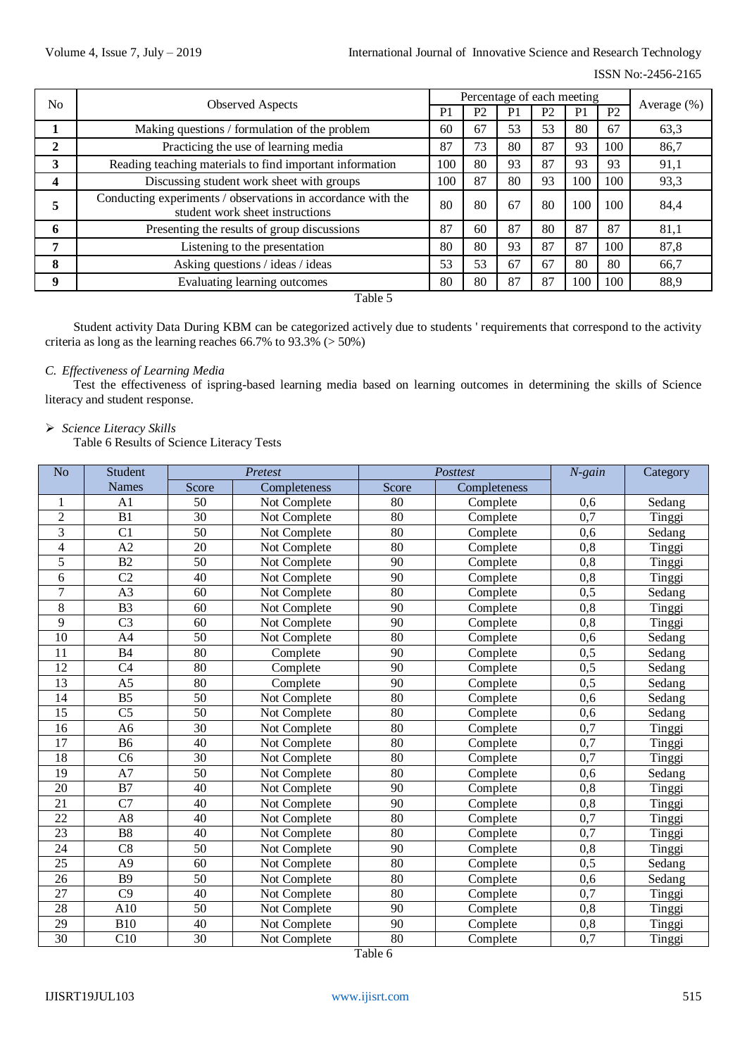#### ISSN No:-2456-2165

| N <sub>0</sub> | <b>Observed Aspects</b>                                                                         |                | Percentage of each meeting |                |                |     |     |             |
|----------------|-------------------------------------------------------------------------------------------------|----------------|----------------------------|----------------|----------------|-----|-----|-------------|
|                |                                                                                                 | P <sub>1</sub> | P <sub>2</sub>             | P <sub>1</sub> | P <sub>2</sub> | P1  | P2  | Average (%) |
|                | Making questions / formulation of the problem                                                   | 60             | 67                         | 53             | 53             | 80  | 67  | 63,3        |
| $\mathbf{2}$   | Practicing the use of learning media                                                            | 87             | 73                         | 80             | 87             | 93  | 100 | 86,7        |
| 3              | Reading teaching materials to find important information                                        | 100            | 80                         | 93             | 87             | 93  | 93  | 91,1        |
| 4              | Discussing student work sheet with groups                                                       | 100            | 87                         | 80             | 93             | 100 | 100 | 93,3        |
| 5              | Conducting experiments / observations in accordance with the<br>student work sheet instructions | 80             | 80                         | 67             | 80             | 100 | 100 | 84,4        |
| 6              | Presenting the results of group discussions                                                     | 87             | 60                         | 87             | 80             | 87  | 87  | 81,1        |
| 7              | Listening to the presentation                                                                   | 80             | 80                         | 93             | 87             | 87  | 100 | 87,8        |
| 8              | Asking questions / ideas / ideas                                                                | 53             | 53                         | 67             | 67             | 80  | 80  | 66,7        |
| -9             | Evaluating learning outcomes                                                                    | 80             | 80                         | 87             | 87             | 100 | 100 | 88,9        |
|                | Table 5                                                                                         |                |                            |                |                |     |     |             |

Student activity Data During KBM can be categorized actively due to students ' requirements that correspond to the activity criteria as long as the learning reaches 66.7% to 93.3% (> 50%)

# *C. Effectiveness of Learning Media*

Test the effectiveness of ispring-based learning media based on learning outcomes in determining the skills of Science literacy and student response.

## *Science Literacy Skills*

Table 6 Results of Science Literacy Tests

| No              | <b>Student</b>  |                 | Pretest      | Posttest        |              | $N$ -gain        | Category |
|-----------------|-----------------|-----------------|--------------|-----------------|--------------|------------------|----------|
|                 | <b>Names</b>    | Score           | Completeness | Score           | Completeness |                  |          |
| 1               | A1              | 50              | Not Complete | 80              | Complete     | 0,6              | Sedang   |
| $\overline{2}$  | B1              | 30              | Not Complete | 80              | Complete     | 0,7              | Tinggi   |
| 3               | C <sub>1</sub>  | 50              | Not Complete | 80              | Complete     | 0,6              | Sedang   |
| $\overline{4}$  | A2              | 20              | Not Complete | 80              | Complete     | 0,8              | Tinggi   |
| $\overline{5}$  | $\overline{B2}$ | $\overline{50}$ | Not Complete | 90              | Complete     | 0,8              | Tinggi   |
| 6               | C <sub>2</sub>  | 40              | Not Complete | 90              | Complete     | 0,8              | Tinggi   |
| $\overline{7}$  | A <sub>3</sub>  | 60              | Not Complete | 80              | Complete     | 0,5              | Sedang   |
| $\,8\,$         | B <sub>3</sub>  | 60              | Not Complete | 90              | Complete     | 0,8              | Tinggi   |
| $\overline{9}$  | $\overline{C}3$ | 60              | Not Complete | $\overline{90}$ | Complete     | $\overline{0,8}$ | Tinggi   |
| 10              | A <sub>4</sub>  | 50              | Not Complete | 80              | Complete     | 0,6              | Sedang   |
| 11              | <b>B4</b>       | 80              | Complete     | 90              | Complete     | 0,5              | Sedang   |
| $\overline{12}$ | C <sub>4</sub>  | 80              | Complete     | 90              | Complete     | 0,5              | Sedang   |
| 13              | A <sub>5</sub>  | 80              | Complete     | 90              | Complete     | 0,5              | Sedang   |
| 14              | B <sub>5</sub>  | 50              | Not Complete | 80              | Complete     | 0,6              | Sedang   |
| $\overline{15}$ | $\overline{C5}$ | $\overline{50}$ | Not Complete | $\overline{80}$ | Complete     | 0,6              | Sedang   |
| 16              | A <sub>6</sub>  | 30              | Not Complete | 80              | Complete     | 0,7              | Tinggi   |
| 17              | <b>B6</b>       | 40              | Not Complete | 80              | Complete     | 0,7              | Tinggi   |
| 18              | C <sub>6</sub>  | $\overline{30}$ | Not Complete | 80              | Complete     | $\overline{0,7}$ | Tinggi   |
| 19              | A7              | 50              | Not Complete | 80              | Complete     | 0,6              | Sedang   |
| 20              | B7              | 40              | Not Complete | 90              | Complete     | 0,8              | Tinggi   |
| $\overline{21}$ | $\overline{C7}$ | 40              | Not Complete | 90              | Complete     | $\overline{0,8}$ | Tinggi   |
| 22              | A8              | 40              | Not Complete | 80              | Complete     | 0,7              | Tinggi   |
| 23              | <b>B8</b>       | 40              | Not Complete | 80              | Complete     | 0,7              | Tinggi   |
| 24              | C8              | 50              | Not Complete | 90              | Complete     | 0,8              | Tinggi   |
| 25              | A <sub>9</sub>  | 60              | Not Complete | 80              | Complete     | 0,5              | Sedang   |
| 26              | <b>B9</b>       | $\overline{50}$ | Not Complete | 80              | Complete     | 0,6              | Sedang   |
| 27              | C9              | 40              | Not Complete | 80              | Complete     | 0,7              | Tinggi   |
| 28              | A10             | 50              | Not Complete | 90              | Complete     | $\overline{0,8}$ | Tinggi   |
| 29              | <b>B10</b>      | 40              | Not Complete | 90              | Complete     | 0,8              | Tinggi   |
| 30              | C10             | 30              | Not Complete | 80              | Complete     | 0,7              | Tinggi   |

Table 6